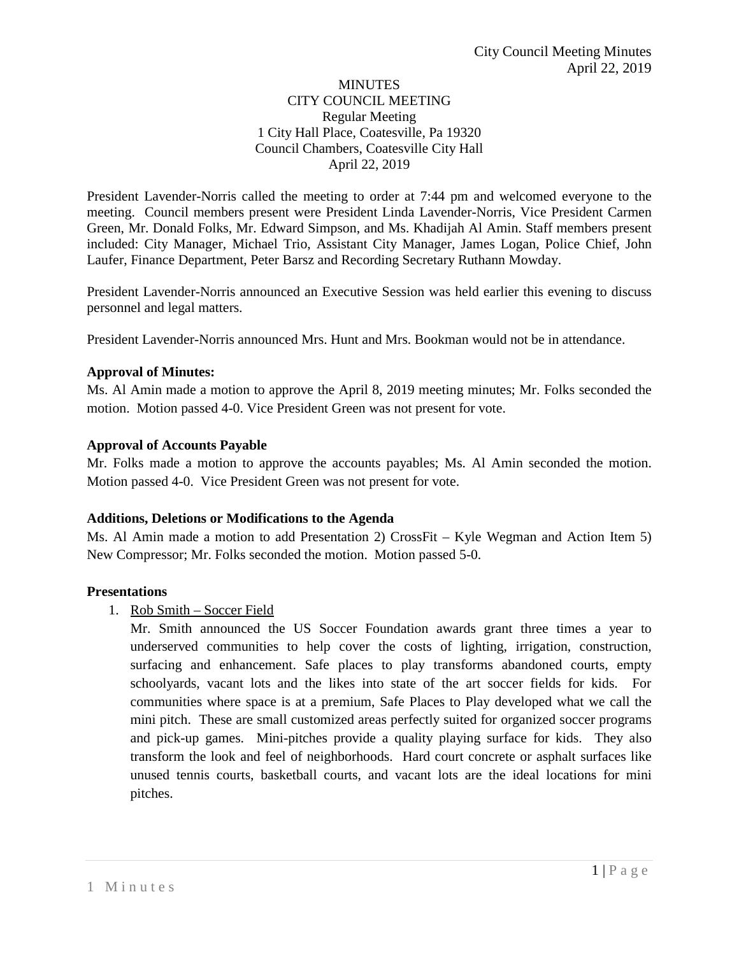### **MINUTES** CITY COUNCIL MEETING Regular Meeting 1 City Hall Place, Coatesville, Pa 19320 Council Chambers, Coatesville City Hall April 22, 2019

President Lavender-Norris called the meeting to order at 7:44 pm and welcomed everyone to the meeting. Council members present were President Linda Lavender-Norris, Vice President Carmen Green, Mr. Donald Folks, Mr. Edward Simpson, and Ms. Khadijah Al Amin. Staff members present included: City Manager, Michael Trio, Assistant City Manager, James Logan, Police Chief, John Laufer, Finance Department, Peter Barsz and Recording Secretary Ruthann Mowday.

President Lavender-Norris announced an Executive Session was held earlier this evening to discuss personnel and legal matters.

President Lavender-Norris announced Mrs. Hunt and Mrs. Bookman would not be in attendance.

### **Approval of Minutes:**

Ms. Al Amin made a motion to approve the April 8, 2019 meeting minutes; Mr. Folks seconded the motion. Motion passed 4-0. Vice President Green was not present for vote.

#### **Approval of Accounts Payable**

Mr. Folks made a motion to approve the accounts payables; Ms. Al Amin seconded the motion. Motion passed 4-0. Vice President Green was not present for vote.

#### **Additions, Deletions or Modifications to the Agenda**

Ms. Al Amin made a motion to add Presentation 2) CrossFit – Kyle Wegman and Action Item 5) New Compressor; Mr. Folks seconded the motion. Motion passed 5-0.

### **Presentations**

1. Rob Smith – Soccer Field

Mr. Smith announced the US Soccer Foundation awards grant three times a year to underserved communities to help cover the costs of lighting, irrigation, construction, surfacing and enhancement. Safe places to play transforms abandoned courts, empty schoolyards, vacant lots and the likes into state of the art soccer fields for kids. For communities where space is at a premium, Safe Places to Play developed what we call the mini pitch. These are small customized areas perfectly suited for organized soccer programs and pick-up games. Mini-pitches provide a quality playing surface for kids. They also transform the look and feel of neighborhoods. Hard court concrete or asphalt surfaces like unused tennis courts, basketball courts, and vacant lots are the ideal locations for mini pitches.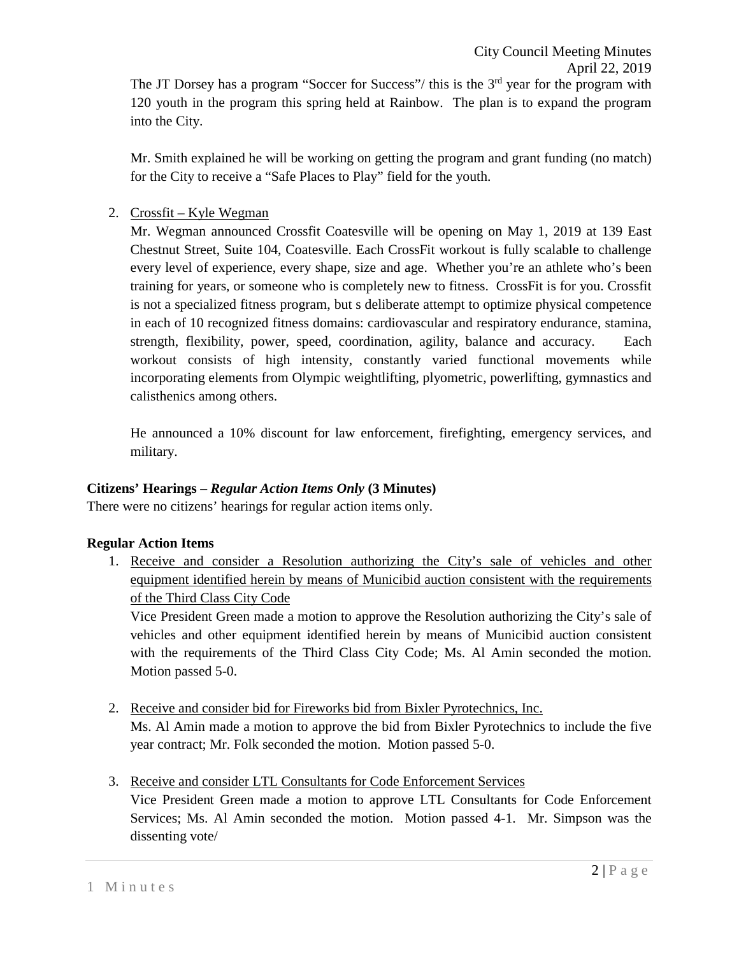Mr. Smith explained he will be working on getting the program and grant funding (no match) for the City to receive a "Safe Places to Play" field for the youth.

### 2. Crossfit – Kyle Wegman

Mr. Wegman announced Crossfit Coatesville will be opening on May 1, 2019 at 139 East Chestnut Street, Suite 104, Coatesville. Each CrossFit workout is fully scalable to challenge every level of experience, every shape, size and age. Whether you're an athlete who's been training for years, or someone who is completely new to fitness. CrossFit is for you. Crossfit is not a specialized fitness program, but s deliberate attempt to optimize physical competence in each of 10 recognized fitness domains: cardiovascular and respiratory endurance, stamina, strength, flexibility, power, speed, coordination, agility, balance and accuracy. Each workout consists of high intensity, constantly varied functional movements while incorporating elements from Olympic weightlifting, plyometric, powerlifting, gymnastics and calisthenics among others.

He announced a 10% discount for law enforcement, firefighting, emergency services, and military.

# **Citizens' Hearings –** *Regular Action Items Only* **(3 Minutes)**

There were no citizens' hearings for regular action items only.

### **Regular Action Items**

1. Receive and consider a Resolution authorizing the City's sale of vehicles and other equipment identified herein by means of Municibid auction consistent with the requirements of the Third Class City Code

Vice President Green made a motion to approve the Resolution authorizing the City's sale of vehicles and other equipment identified herein by means of Municibid auction consistent with the requirements of the Third Class City Code; Ms. Al Amin seconded the motion. Motion passed 5-0.

- 2. Receive and consider bid for Fireworks bid from Bixler Pyrotechnics, Inc. Ms. Al Amin made a motion to approve the bid from Bixler Pyrotechnics to include the five year contract; Mr. Folk seconded the motion. Motion passed 5-0.
- 3. Receive and consider LTL Consultants for Code Enforcement Services

Vice President Green made a motion to approve LTL Consultants for Code Enforcement Services; Ms. Al Amin seconded the motion. Motion passed 4-1. Mr. Simpson was the dissenting vote/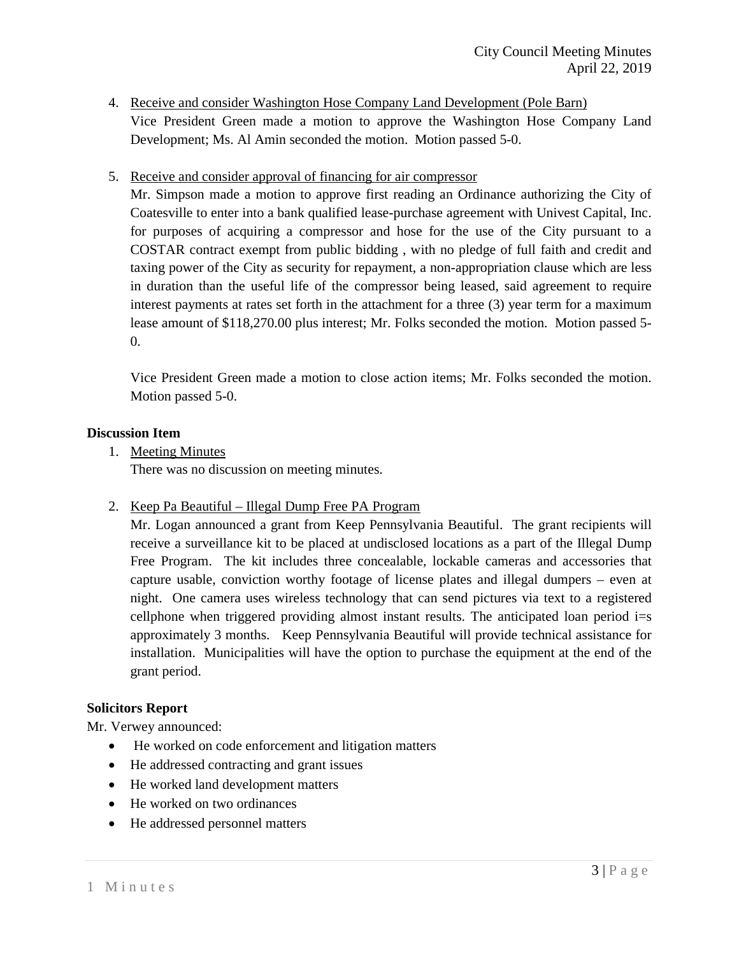- 4. Receive and consider Washington Hose Company Land Development (Pole Barn) Vice President Green made a motion to approve the Washington Hose Company Land Development; Ms. Al Amin seconded the motion. Motion passed 5-0.
- 5. Receive and consider approval of financing for air compressor

Mr. Simpson made a motion to approve first reading an Ordinance authorizing the City of Coatesville to enter into a bank qualified lease-purchase agreement with Univest Capital, Inc. for purposes of acquiring a compressor and hose for the use of the City pursuant to a COSTAR contract exempt from public bidding , with no pledge of full faith and credit and taxing power of the City as security for repayment, a non-appropriation clause which are less in duration than the useful life of the compressor being leased, said agreement to require interest payments at rates set forth in the attachment for a three (3) year term for a maximum lease amount of \$118,270.00 plus interest; Mr. Folks seconded the motion. Motion passed 5-  $\Omega$ 

Vice President Green made a motion to close action items; Mr. Folks seconded the motion. Motion passed 5-0.

### **Discussion Item**

1. Meeting Minutes

There was no discussion on meeting minutes.

2. Keep Pa Beautiful – Illegal Dump Free PA Program

Mr. Logan announced a grant from Keep Pennsylvania Beautiful. The grant recipients will receive a surveillance kit to be placed at undisclosed locations as a part of the Illegal Dump Free Program. The kit includes three concealable, lockable cameras and accessories that capture usable, conviction worthy footage of license plates and illegal dumpers – even at night. One camera uses wireless technology that can send pictures via text to a registered cellphone when triggered providing almost instant results. The anticipated loan period  $i=s$ approximately 3 months. Keep Pennsylvania Beautiful will provide technical assistance for installation. Municipalities will have the option to purchase the equipment at the end of the grant period.

#### **Solicitors Report**

Mr. Verwey announced:

- He worked on code enforcement and litigation matters
- He addressed contracting and grant issues
- He worked land development matters
- He worked on two ordinances
- He addressed personnel matters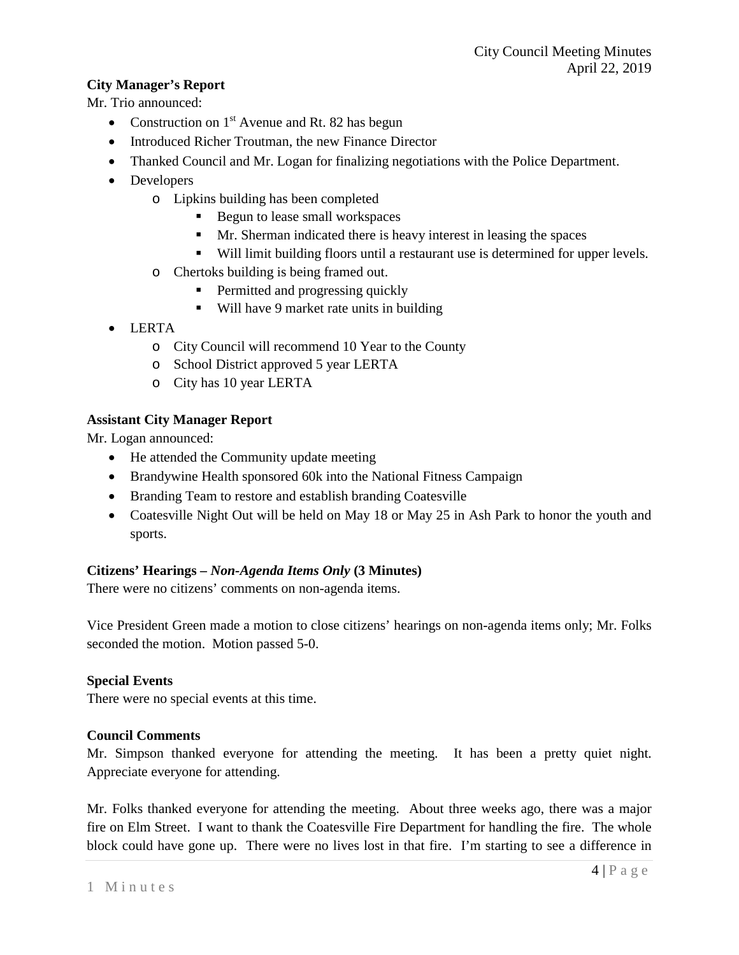# **City Manager's Report**

Mr. Trio announced:

- Construction on  $1<sup>st</sup>$  Avenue and Rt. 82 has begun
- Introduced Richer Troutman, the new Finance Director
- Thanked Council and Mr. Logan for finalizing negotiations with the Police Department.
- Developers
	- o Lipkins building has been completed
		- Begun to lease small workspaces
		- Mr. Sherman indicated there is heavy interest in leasing the spaces
		- Will limit building floors until a restaurant use is determined for upper levels.
	- o Chertoks building is being framed out.
		- Permitted and progressing quickly
		- Will have 9 market rate units in building
- LERTA
	- o City Council will recommend 10 Year to the County
	- o School District approved 5 year LERTA
	- o City has 10 year LERTA

### **Assistant City Manager Report**

Mr. Logan announced:

- He attended the Community update meeting
- Brandywine Health sponsored 60k into the National Fitness Campaign
- Branding Team to restore and establish branding Coatesville
- Coatesville Night Out will be held on May 18 or May 25 in Ash Park to honor the youth and sports.

# **Citizens' Hearings –** *Non-Agenda Items Only* **(3 Minutes)**

There were no citizens' comments on non-agenda items.

Vice President Green made a motion to close citizens' hearings on non-agenda items only; Mr. Folks seconded the motion. Motion passed 5-0.

### **Special Events**

There were no special events at this time.

### **Council Comments**

Mr. Simpson thanked everyone for attending the meeting. It has been a pretty quiet night. Appreciate everyone for attending.

Mr. Folks thanked everyone for attending the meeting. About three weeks ago, there was a major fire on Elm Street. I want to thank the Coatesville Fire Department for handling the fire. The whole block could have gone up. There were no lives lost in that fire. I'm starting to see a difference in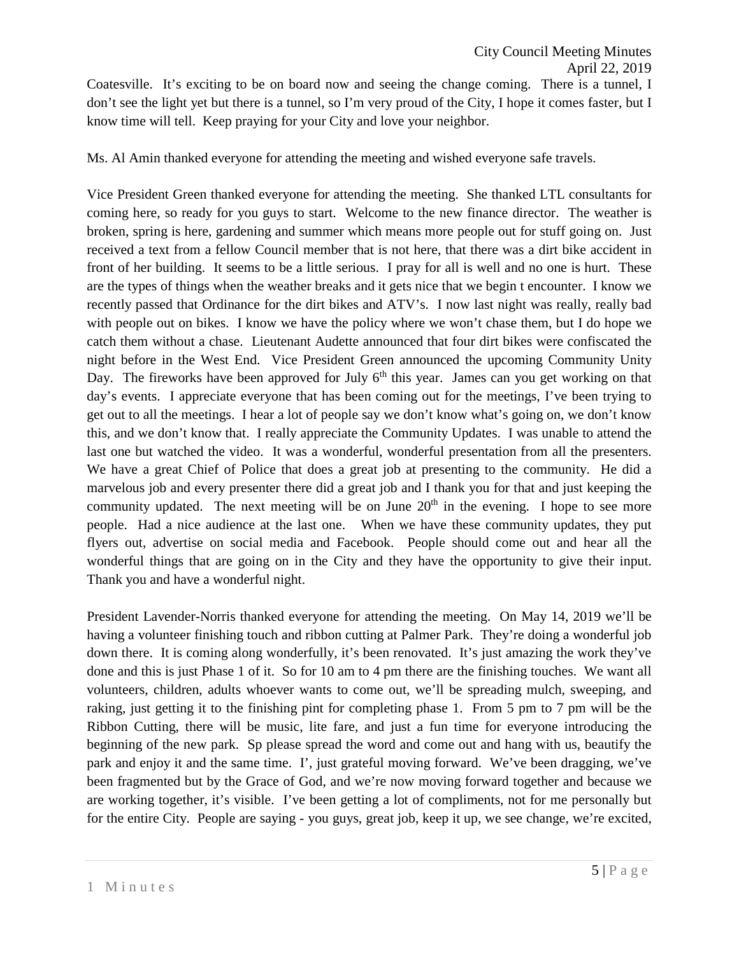Coatesville. It's exciting to be on board now and seeing the change coming. There is a tunnel, I don't see the light yet but there is a tunnel, so I'm very proud of the City, I hope it comes faster, but I know time will tell. Keep praying for your City and love your neighbor.

Ms. Al Amin thanked everyone for attending the meeting and wished everyone safe travels.

Vice President Green thanked everyone for attending the meeting. She thanked LTL consultants for coming here, so ready for you guys to start. Welcome to the new finance director. The weather is broken, spring is here, gardening and summer which means more people out for stuff going on. Just received a text from a fellow Council member that is not here, that there was a dirt bike accident in front of her building. It seems to be a little serious. I pray for all is well and no one is hurt. These are the types of things when the weather breaks and it gets nice that we begin t encounter. I know we recently passed that Ordinance for the dirt bikes and ATV's. I now last night was really, really bad with people out on bikes. I know we have the policy where we won't chase them, but I do hope we catch them without a chase. Lieutenant Audette announced that four dirt bikes were confiscated the night before in the West End. Vice President Green announced the upcoming Community Unity Day. The fireworks have been approved for July  $6<sup>th</sup>$  this year. James can you get working on that day's events. I appreciate everyone that has been coming out for the meetings, I've been trying to get out to all the meetings. I hear a lot of people say we don't know what's going on, we don't know this, and we don't know that. I really appreciate the Community Updates. I was unable to attend the last one but watched the video. It was a wonderful, wonderful presentation from all the presenters. We have a great Chief of Police that does a great job at presenting to the community. He did a marvelous job and every presenter there did a great job and I thank you for that and just keeping the community updated. The next meeting will be on June  $20<sup>th</sup>$  in the evening. I hope to see more people. Had a nice audience at the last one. When we have these community updates, they put flyers out, advertise on social media and Facebook. People should come out and hear all the wonderful things that are going on in the City and they have the opportunity to give their input. Thank you and have a wonderful night.

President Lavender-Norris thanked everyone for attending the meeting. On May 14, 2019 we'll be having a volunteer finishing touch and ribbon cutting at Palmer Park. They're doing a wonderful job down there. It is coming along wonderfully, it's been renovated. It's just amazing the work they've done and this is just Phase 1 of it. So for 10 am to 4 pm there are the finishing touches. We want all volunteers, children, adults whoever wants to come out, we'll be spreading mulch, sweeping, and raking, just getting it to the finishing pint for completing phase 1. From 5 pm to 7 pm will be the Ribbon Cutting, there will be music, lite fare, and just a fun time for everyone introducing the beginning of the new park. Sp please spread the word and come out and hang with us, beautify the park and enjoy it and the same time. I', just grateful moving forward. We've been dragging, we've been fragmented but by the Grace of God, and we're now moving forward together and because we are working together, it's visible. I've been getting a lot of compliments, not for me personally but for the entire City. People are saying - you guys, great job, keep it up, we see change, we're excited,